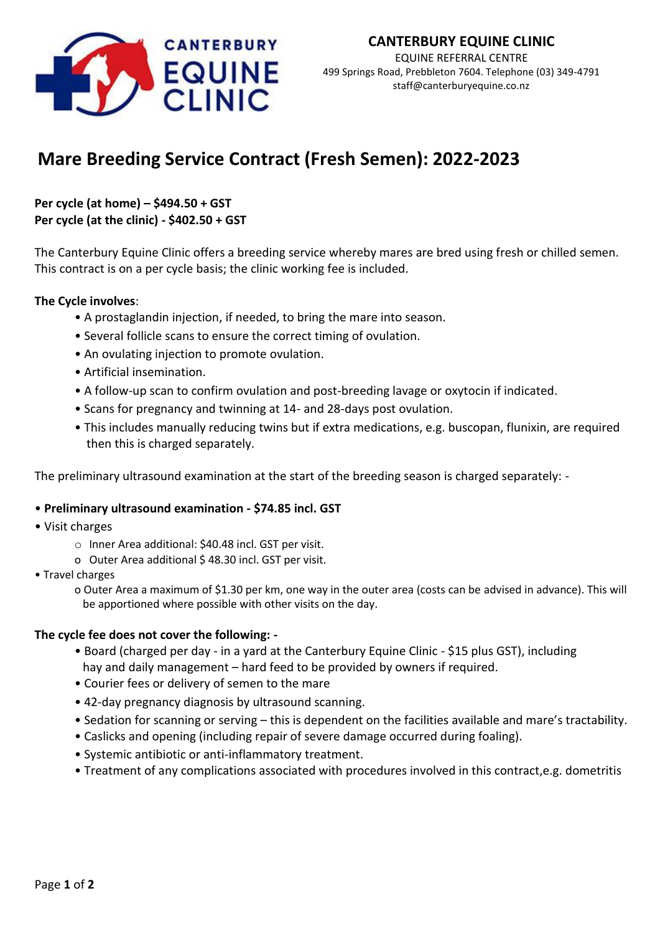

EQUINE REFERRAL CENTRE 499 Springs Road, Prebbleton 7604. Telephone (03) 349-4791 staff@canterburyequine.co.nz

# **Mare Breeding Service Contract (Fresh Semen): 2022-2023**

# **Per cycle (at home) – \$494.50 + GST Per cycle (at the clinic) - \$402.50 + GST**

The Canterbury Equine Clinic offers a breeding service whereby mares are bred using fresh or chilled semen. This contract is on a per cycle basis; the clinic working fee is included.

# **The Cycle involves**:

- A prostaglandin injection, if needed, to bring the mare into season.
- Several follicle scans to ensure the correct timing of ovulation.
- An ovulating injection to promote ovulation.
- Artificial insemination.
- A follow-up scan to confirm ovulation and post-breeding lavage or oxytocin if indicated.
- Scans for pregnancy and twinning at 14- and 28-days post ovulation.
- This includes manually reducing twins but if extra medications, e.g. buscopan, flunixin, are required then this is charged separately.

The preliminary ultrasound examination at the start of the breeding season is charged separately: -

### • **Preliminary ultrasound examination - \$74.85 incl. GST**

- Visit charges
	- o Inner Area additional: \$40.48 incl. GST per visit.
	- o Outer Area additional \$ 48.30 incl. GST per visit.
- Travel charges
	- o Outer Area a maximum of \$1.30 per km, one way in the outer area (costs can be advised in advance). This will be apportioned where possible with other visits on the day.

### **The cycle fee does not cover the following: -**

- Board (charged per day in a yard at the Canterbury Equine Clinic \$15 plus GST), including hay and daily management – hard feed to be provided by owners if required.
- Courier fees or delivery of semen to the mare
- 42-day pregnancy diagnosis by ultrasound scanning.
- Sedation for scanning or serving this is dependent on the facilities available and mare's tractability.
- Caslicks and opening (including repair of severe damage occurred during foaling).
- Systemic antibiotic or anti-inflammatory treatment.
- Treatment of any complications associated with procedures involved in this contract,e.g. dometritis